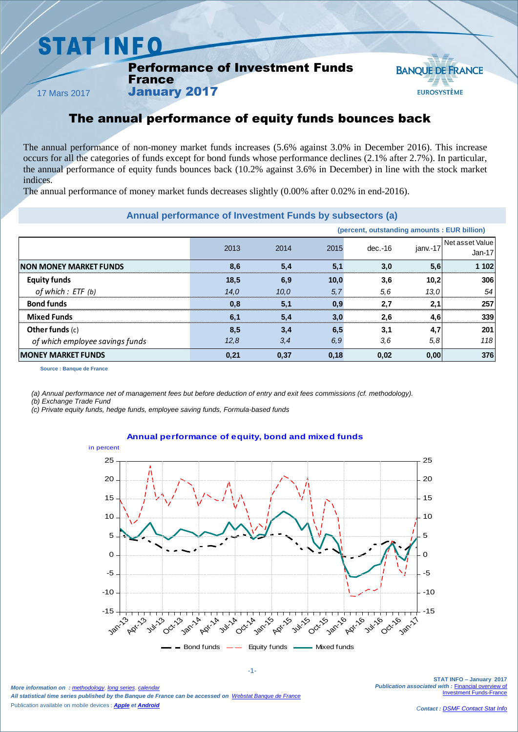## **STAT INFO**

#### Performance of Investment Funds France



17 Mars 2017

### The annual performance of equity funds bounces back

The annual performance of non-money market funds increases (5.6% against 3.0% in December 2016). This increase occurs for all the categories of funds except for bond funds whose performance declines (2.1% after 2.7%). In particular, the annual performance of equity funds bounces back (10.2% against 3.6% in December) in line with the stock market indices.

The annual performance of money market funds decreases slightly (0.00% after 0.02% in end-2016).

January 2017

#### **Annual performance of Investment Funds by subsectors (a)**

|                                 |      |      |      | (percent, outstanding amounts : EUR billion) |          |                             |
|---------------------------------|------|------|------|----------------------------------------------|----------|-----------------------------|
|                                 | 2013 | 2014 | 2015 | $dec.-16$                                    | janv.-17 | Net asset Value<br>$Jan-17$ |
| <b>INON MONEY MARKET FUNDS</b>  | 8,6  | 5,4  | 5,1  | 3,0                                          | 5,6      | 1 102                       |
| <b>Equity funds</b>             | 18,5 | 6.9  | 10,0 | 3.6                                          | 10,2     | 306                         |
| of which : ETF (b)              | 14.0 | 10.0 | 5,7  | 5,6                                          | 13,0     | 54                          |
| <b>Bond funds</b>               | 0,8  | 5,1  | 0.9  | 2.7                                          | 2,1      | 257                         |
| <b>Mixed Funds</b>              | 6.1  | 5,4  | 3,0  | 2,6                                          | 4.6      | 339                         |
| Other funds $(c)$               | 8,5  | 3,4  | 6,5  | 3,1                                          | 4,7      | 201                         |
| of which employee savings funds | 12,8 | 3,4  | 6,9  | 3,6                                          | 5,8      | 118                         |
| <b>MONEY MARKET FUNDS</b>       | 0,21 | 0,37 | 0,18 | 0,02                                         | 0,00     | 376                         |

**Source : Banque de France**

*(a) Annual performance net of management fees but before deduction of entry and exit fees commissions (cf. methodology).*

*(b) Exchange Trade Fund*

*(c) Private equity funds, hedge funds, employee saving funds, Formula-based funds*

#### **Annual performance of equity, bond and mixed funds**



*More information on : [methodology](https://www.banque-france.fr/en/node/21464)*, *[long series](http://webstat.banque-france.fr/en/browse.do?node=5384218)*, *[calendar](https://www.banque-france.fr/en/statistics/calendar) All statistical time series published by the Banque de France can be accessed on [Webstat Banque de France](http://webstat.banque-france.fr/en/)* Publication available on mobile devices : *[Apple](https://itunes.apple.com/fr/app/banquefrance/id663817914?mt=8) e[t Android](https://play.google.com/store/apps/details?id=fr.bdf.mobile&feature=search_result#?t=W251bGwsMSwyLDEsImZyLmJkZi5tb2JpbGUiXQ)*

-1-

**STAT INFO – January 2017** *Publication associated with :* [Financial overview of](https://www.banque-france.fr/en/node/4206)  **Imant Funds-France**